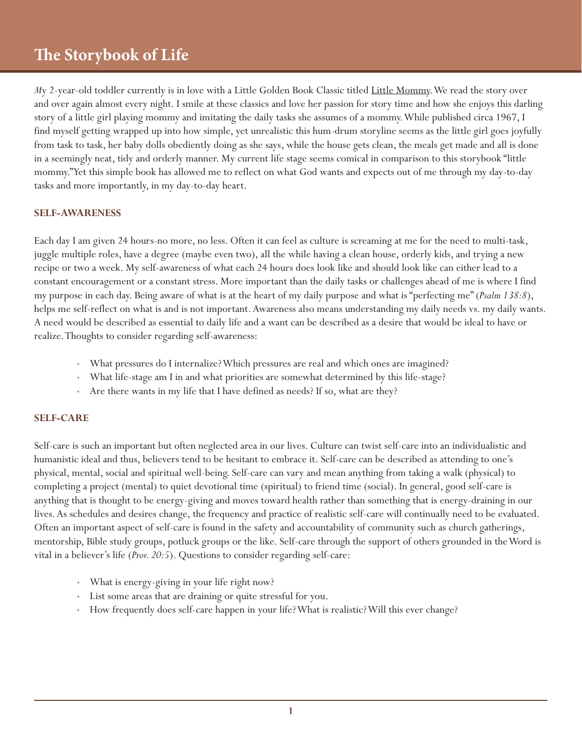## **The Storybook of Life**

*M*y 2-year-old toddler currently is in love with a Little Golden Book Classic titled Little Mommy. We read the story over and over again almost every night. I smile at these classics and love her passion for story time and how she enjoys this darling story of a little girl playing mommy and imitating the daily tasks she assumes of a mommy. While published circa 1967, I find myself getting wrapped up into how simple, yet unrealistic this hum-drum storyline seems as the little girl goes joyfully from task to task, her baby dolls obediently doing as she says, while the house gets clean, the meals get made and all is done in a seemingly neat, tidy and orderly manner. My current life stage seems comical in comparison to this storybook "little mommy." Yet this simple book has allowed me to reflect on what God wants and expects out of me through my day-to-day tasks and more importantly, in my day-to-day heart.

## **SELF-AWARENESS**

Each day I am given 24 hours-no more, no less. Often it can feel as culture is screaming at me for the need to multi-task, juggle multiple roles, have a degree (maybe even two), all the while having a clean house, orderly kids, and trying a new recipe or two a week. My self-awareness of what each 24 hours does look like and should look like can either lead to a constant encouragement or a constant stress. More important than the daily tasks or challenges ahead of me is where I find my purpose in each day. Being aware of what is at the heart of my daily purpose and what is "perfecting me" (*Psalm 138:8*), helps me self-reflect on what is and is not important. Awareness also means understanding my daily needs vs. my daily wants. A need would be described as essential to daily life and a want can be described as a desire that would be ideal to have or realize. Thoughts to consider regarding self-awareness:

- What pressures do I internalize? Which pressures are real and which ones are imagined?
- What life-stage am I in and what priorities are somewhat determined by this life-stage?
- Are there wants in my life that I have defined as needs? If so, what are they?

## **SELF-CARE**

Self-care is such an important but often neglected area in our lives. Culture can twist self-care into an individualistic and humanistic ideal and thus, believers tend to be hesitant to embrace it. Self-care can be described as attending to one's physical, mental, social and spiritual well-being. Self-care can vary and mean anything from taking a walk (physical) to completing a project (mental) to quiet devotional time (spiritual) to friend time (social). In general, good self-care is anything that is thought to be energy-giving and moves toward health rather than something that is energy-draining in our lives. As schedules and desires change, the frequency and practice of realistic self-care will continually need to be evaluated. Often an important aspect of self-care is found in the safety and accountability of community such as church gatherings, mentorship, Bible study groups, potluck groups or the like. Self-care through the support of others grounded in the Word is vital in a believer's life (*Prov. 20:5*). Questions to consider regarding self-care:

- What is energy-giving in your life right now?
- List some areas that are draining or quite stressful for you.
- How frequently does self-care happen in your life? What is realistic? Will this ever change?